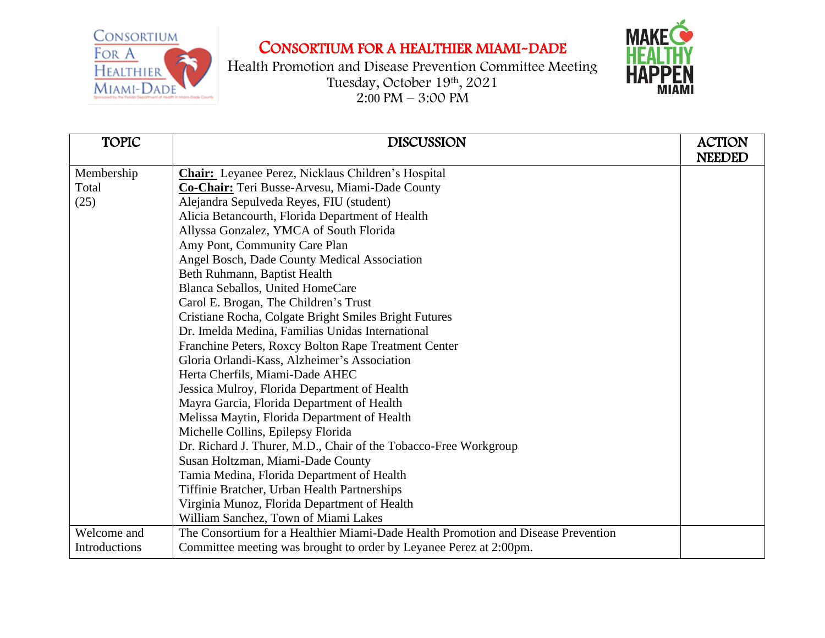## CONSORTIUM FOR A HEALTHIER MIAMI-DADE



| <b>TOPIC</b>  | <b>DISCUSSION</b>                                                                 | <b>ACTION</b> |
|---------------|-----------------------------------------------------------------------------------|---------------|
|               |                                                                                   | <b>NEEDED</b> |
| Membership    | <b>Chair:</b> Leyanee Perez, Nicklaus Children's Hospital                         |               |
| Total         | Co-Chair: Teri Busse-Arvesu, Miami-Dade County                                    |               |
| (25)          | Alejandra Sepulveda Reyes, FIU (student)                                          |               |
|               | Alicia Betancourth, Florida Department of Health                                  |               |
|               | Allyssa Gonzalez, YMCA of South Florida                                           |               |
|               | Amy Pont, Community Care Plan                                                     |               |
|               | Angel Bosch, Dade County Medical Association                                      |               |
|               | Beth Ruhmann, Baptist Health                                                      |               |
|               | Blanca Seballos, United HomeCare                                                  |               |
|               | Carol E. Brogan, The Children's Trust                                             |               |
|               | Cristiane Rocha, Colgate Bright Smiles Bright Futures                             |               |
|               | Dr. Imelda Medina, Familias Unidas International                                  |               |
|               | Franchine Peters, Roxcy Bolton Rape Treatment Center                              |               |
|               | Gloria Orlandi-Kass, Alzheimer's Association                                      |               |
|               | Herta Cherfils, Miami-Dade AHEC                                                   |               |
|               | Jessica Mulroy, Florida Department of Health                                      |               |
|               | Mayra Garcia, Florida Department of Health                                        |               |
|               | Melissa Maytin, Florida Department of Health                                      |               |
|               | Michelle Collins, Epilepsy Florida                                                |               |
|               | Dr. Richard J. Thurer, M.D., Chair of the Tobacco-Free Workgroup                  |               |
|               | Susan Holtzman, Miami-Dade County                                                 |               |
|               | Tamia Medina, Florida Department of Health                                        |               |
|               | Tiffinie Bratcher, Urban Health Partnerships                                      |               |
|               | Virginia Munoz, Florida Department of Health                                      |               |
|               | William Sanchez, Town of Miami Lakes                                              |               |
| Welcome and   | The Consortium for a Healthier Miami-Dade Health Promotion and Disease Prevention |               |
| Introductions | Committee meeting was brought to order by Leyanee Perez at 2:00pm.                |               |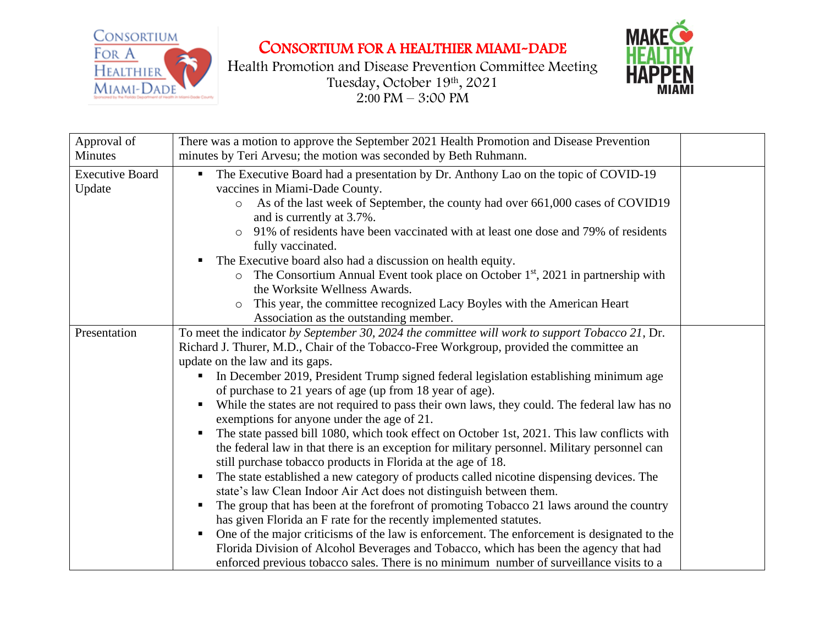



| Approval of<br><b>Minutes</b>    | There was a motion to approve the September 2021 Health Promotion and Disease Prevention<br>minutes by Teri Arvesu; the motion was seconded by Beth Ruhmann.                                                                                                                                                                                                                                                                                                                                                                                                                                                                                                                                                                                                                                                                                                                                                                                                                                                                                                                                                                                                                                                                                                                                                                                                                                                                                                                   |  |
|----------------------------------|--------------------------------------------------------------------------------------------------------------------------------------------------------------------------------------------------------------------------------------------------------------------------------------------------------------------------------------------------------------------------------------------------------------------------------------------------------------------------------------------------------------------------------------------------------------------------------------------------------------------------------------------------------------------------------------------------------------------------------------------------------------------------------------------------------------------------------------------------------------------------------------------------------------------------------------------------------------------------------------------------------------------------------------------------------------------------------------------------------------------------------------------------------------------------------------------------------------------------------------------------------------------------------------------------------------------------------------------------------------------------------------------------------------------------------------------------------------------------------|--|
| <b>Executive Board</b><br>Update | The Executive Board had a presentation by Dr. Anthony Lao on the topic of COVID-19<br>vaccines in Miami-Dade County.<br>As of the last week of September, the county had over 661,000 cases of COVID19<br>$\circ$<br>and is currently at 3.7%.<br>91% of residents have been vaccinated with at least one dose and 79% of residents<br>fully vaccinated.<br>The Executive board also had a discussion on health equity.<br>The Consortium Annual Event took place on October $1st$ , 2021 in partnership with<br>$\circ$<br>the Worksite Wellness Awards.<br>This year, the committee recognized Lacy Boyles with the American Heart<br>$\circ$<br>Association as the outstanding member.                                                                                                                                                                                                                                                                                                                                                                                                                                                                                                                                                                                                                                                                                                                                                                                      |  |
| Presentation                     | To meet the indicator by September 30, 2024 the committee will work to support Tobacco 21, Dr.<br>Richard J. Thurer, M.D., Chair of the Tobacco-Free Workgroup, provided the committee an<br>update on the law and its gaps.<br>In December 2019, President Trump signed federal legislation establishing minimum age<br>$\blacksquare$<br>of purchase to 21 years of age (up from 18 year of age).<br>While the states are not required to pass their own laws, they could. The federal law has no<br>п<br>exemptions for anyone under the age of 21.<br>The state passed bill 1080, which took effect on October 1st, 2021. This law conflicts with<br>п<br>the federal law in that there is an exception for military personnel. Military personnel can<br>still purchase tobacco products in Florida at the age of 18.<br>The state established a new category of products called nicotine dispensing devices. The<br>ш<br>state's law Clean Indoor Air Act does not distinguish between them.<br>The group that has been at the forefront of promoting Tobacco 21 laws around the country<br>ш<br>has given Florida an F rate for the recently implemented statutes.<br>One of the major criticisms of the law is enforcement. The enforcement is designated to the<br>$\blacksquare$<br>Florida Division of Alcohol Beverages and Tobacco, which has been the agency that had<br>enforced previous tobacco sales. There is no minimum number of surveillance visits to a |  |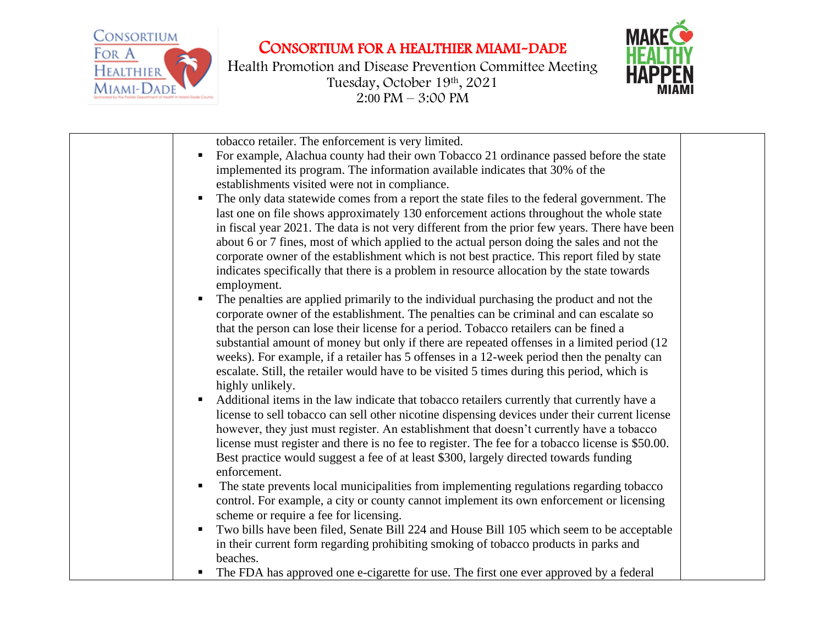



| tobacco retailer. The enforcement is very limited.<br>For example, Alachua county had their own Tobacco 21 ordinance passed before the state<br>$\blacksquare$<br>implemented its program. The information available indicates that 30% of the<br>establishments visited were not in compliance.<br>The only data statewide comes from a report the state files to the federal government. The<br>$\blacksquare$<br>last one on file shows approximately 130 enforcement actions throughout the whole state<br>in fiscal year 2021. The data is not very different from the prior few years. There have been<br>about 6 or 7 fines, most of which applied to the actual person doing the sales and not the<br>corporate owner of the establishment which is not best practice. This report filed by state<br>indicates specifically that there is a problem in resource allocation by the state towards<br>employment. |  |
|------------------------------------------------------------------------------------------------------------------------------------------------------------------------------------------------------------------------------------------------------------------------------------------------------------------------------------------------------------------------------------------------------------------------------------------------------------------------------------------------------------------------------------------------------------------------------------------------------------------------------------------------------------------------------------------------------------------------------------------------------------------------------------------------------------------------------------------------------------------------------------------------------------------------|--|
| The penalties are applied primarily to the individual purchasing the product and not the<br>corporate owner of the establishment. The penalties can be criminal and can escalate so<br>that the person can lose their license for a period. Tobacco retailers can be fined a<br>substantial amount of money but only if there are repeated offenses in a limited period (12)<br>weeks). For example, if a retailer has 5 offenses in a 12-week period then the penalty can<br>escalate. Still, the retailer would have to be visited 5 times during this period, which is<br>highly unlikely.                                                                                                                                                                                                                                                                                                                          |  |
| Additional items in the law indicate that tobacco retailers currently that currently have a<br>license to sell tobacco can sell other nicotine dispensing devices under their current license<br>however, they just must register. An establishment that doesn't currently have a tobacco<br>license must register and there is no fee to register. The fee for a tobacco license is \$50.00.<br>Best practice would suggest a fee of at least \$300, largely directed towards funding<br>enforcement.                                                                                                                                                                                                                                                                                                                                                                                                                 |  |
| The state prevents local municipalities from implementing regulations regarding tobacco<br>control. For example, a city or county cannot implement its own enforcement or licensing<br>scheme or require a fee for licensing.<br>Two bills have been filed, Senate Bill 224 and House Bill 105 which seem to be acceptable<br>in their current form regarding prohibiting smoking of tobacco products in parks and<br>beaches.                                                                                                                                                                                                                                                                                                                                                                                                                                                                                         |  |
| The FDA has approved one e-cigarette for use. The first one ever approved by a federal                                                                                                                                                                                                                                                                                                                                                                                                                                                                                                                                                                                                                                                                                                                                                                                                                                 |  |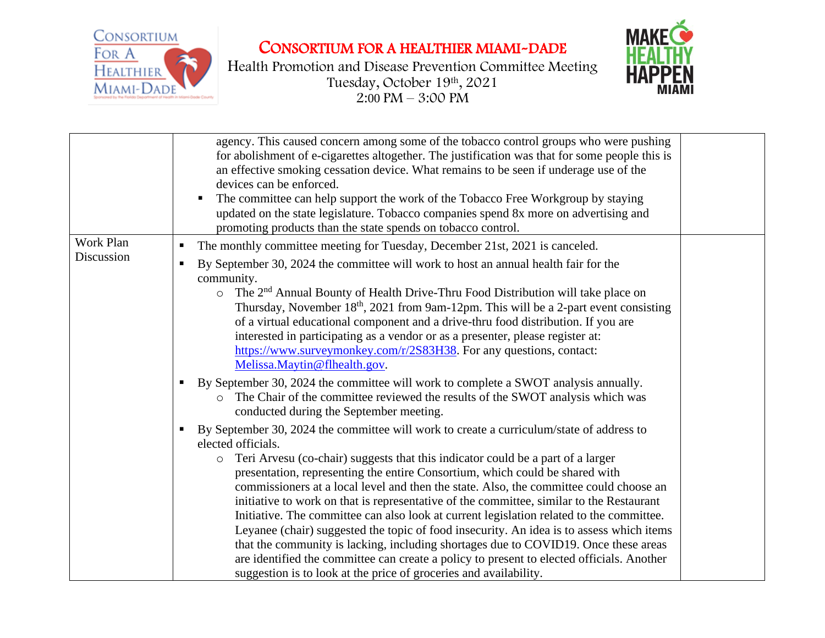



|            | agency. This caused concern among some of the tobacco control groups who were pushing<br>for abolishment of e-cigarettes altogether. The justification was that for some people this is<br>an effective smoking cessation device. What remains to be seen if underage use of the<br>devices can be enforced.<br>The committee can help support the work of the Tobacco Free Workgroup by staying<br>updated on the state legislature. Tobacco companies spend 8x more on advertising and<br>promoting products than the state spends on tobacco control.                                                                                                                                                                                                                                                                                                                                                                                 |
|------------|------------------------------------------------------------------------------------------------------------------------------------------------------------------------------------------------------------------------------------------------------------------------------------------------------------------------------------------------------------------------------------------------------------------------------------------------------------------------------------------------------------------------------------------------------------------------------------------------------------------------------------------------------------------------------------------------------------------------------------------------------------------------------------------------------------------------------------------------------------------------------------------------------------------------------------------|
| Work Plan  | The monthly committee meeting for Tuesday, December 21st, 2021 is canceled.                                                                                                                                                                                                                                                                                                                                                                                                                                                                                                                                                                                                                                                                                                                                                                                                                                                              |
| Discussion | By September 30, 2024 the committee will work to host an annual health fair for the<br>п<br>community.<br>$\circ$ The 2 <sup>nd</sup> Annual Bounty of Health Drive-Thru Food Distribution will take place on<br>Thursday, November 18 <sup>th</sup> , 2021 from 9am-12pm. This will be a 2-part event consisting<br>of a virtual educational component and a drive-thru food distribution. If you are<br>interested in participating as a vendor or as a presenter, please register at:<br>https://www.surveymonkey.com/r/2S83H38. For any questions, contact:<br>Melissa.Maytin@flhealth.gov.                                                                                                                                                                                                                                                                                                                                          |
|            | By September 30, 2024 the committee will work to complete a SWOT analysis annually.<br>ш<br>The Chair of the committee reviewed the results of the SWOT analysis which was<br>$\circ$<br>conducted during the September meeting.                                                                                                                                                                                                                                                                                                                                                                                                                                                                                                                                                                                                                                                                                                         |
|            | By September 30, 2024 the committee will work to create a curriculum/state of address to<br>п<br>elected officials.<br>Teri Arvesu (co-chair) suggests that this indicator could be a part of a larger<br>$\circ$<br>presentation, representing the entire Consortium, which could be shared with<br>commissioners at a local level and then the state. Also, the committee could choose an<br>initiative to work on that is representative of the committee, similar to the Restaurant<br>Initiative. The committee can also look at current legislation related to the committee.<br>Leyanee (chair) suggested the topic of food insecurity. An idea is to assess which items<br>that the community is lacking, including shortages due to COVID19. Once these areas<br>are identified the committee can create a policy to present to elected officials. Another<br>suggestion is to look at the price of groceries and availability. |